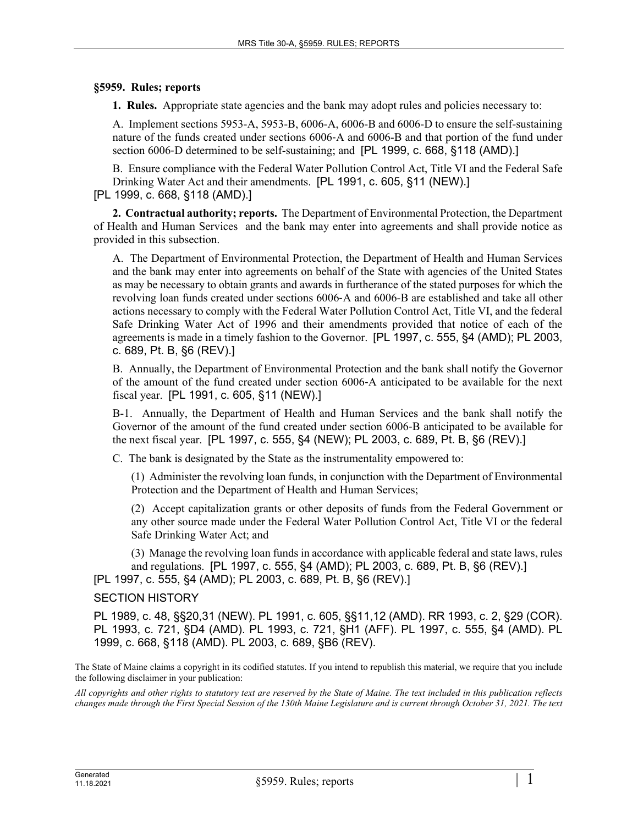## **§5959. Rules; reports**

**1. Rules.** Appropriate state agencies and the bank may adopt rules and policies necessary to:

A. Implement sections 5953-A, 5953-B, 6006-A, 6006-B and 6006-D to ensure the self-sustaining nature of the funds created under sections 6006‑A and 6006-B and that portion of the fund under section 6006-D determined to be self-sustaining; and [PL 1999, c. 668, §118 (AMD).]

B. Ensure compliance with the Federal Water Pollution Control Act, Title VI and the Federal Safe Drinking Water Act and their amendments. [PL 1991, c. 605, §11 (NEW).] [PL 1999, c. 668, §118 (AMD).]

**2. Contractual authority; reports.** The Department of Environmental Protection, the Department of Health and Human Services and the bank may enter into agreements and shall provide notice as provided in this subsection.

A. The Department of Environmental Protection, the Department of Health and Human Services and the bank may enter into agreements on behalf of the State with agencies of the United States as may be necessary to obtain grants and awards in furtherance of the stated purposes for which the revolving loan funds created under sections 6006‑A and 6006-B are established and take all other actions necessary to comply with the Federal Water Pollution Control Act, Title VI, and the federal Safe Drinking Water Act of 1996 and their amendments provided that notice of each of the agreements is made in a timely fashion to the Governor. [PL 1997, c. 555, §4 (AMD); PL 2003, c. 689, Pt. B, §6 (REV).]

B. Annually, the Department of Environmental Protection and the bank shall notify the Governor of the amount of the fund created under section 6006‑A anticipated to be available for the next fiscal year. [PL 1991, c. 605, §11 (NEW).]

B-1. Annually, the Department of Health and Human Services and the bank shall notify the Governor of the amount of the fund created under section 6006‑B anticipated to be available for the next fiscal year. [PL 1997, c. 555, §4 (NEW); PL 2003, c. 689, Pt. B, §6 (REV).]

C. The bank is designated by the State as the instrumentality empowered to:

(1) Administer the revolving loan funds, in conjunction with the Department of Environmental Protection and the Department of Health and Human Services;

(2) Accept capitalization grants or other deposits of funds from the Federal Government or any other source made under the Federal Water Pollution Control Act, Title VI or the federal Safe Drinking Water Act; and

(3) Manage the revolving loan funds in accordance with applicable federal and state laws, rules and regulations. [PL 1997, c. 555, §4 (AMD); PL 2003, c. 689, Pt. B, §6 (REV).] [PL 1997, c. 555, §4 (AMD); PL 2003, c. 689, Pt. B, §6 (REV).]

## SECTION HISTORY

PL 1989, c. 48, §§20,31 (NEW). PL 1991, c. 605, §§11,12 (AMD). RR 1993, c. 2, §29 (COR). PL 1993, c. 721, §D4 (AMD). PL 1993, c. 721, §H1 (AFF). PL 1997, c. 555, §4 (AMD). PL 1999, c. 668, §118 (AMD). PL 2003, c. 689, §B6 (REV).

The State of Maine claims a copyright in its codified statutes. If you intend to republish this material, we require that you include the following disclaimer in your publication:

*All copyrights and other rights to statutory text are reserved by the State of Maine. The text included in this publication reflects changes made through the First Special Session of the 130th Maine Legislature and is current through October 31, 2021. The text*